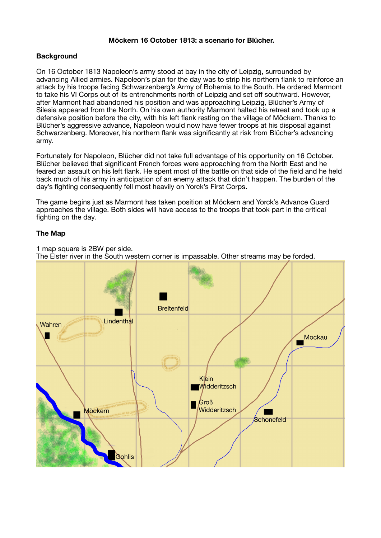## **Möckern 16 October 1813: a scenario for Blücher.**

## **Background**

On 16 October 1813 Napoleon's army stood at bay in the city of Leipzig, surrounded by advancing Allied armies. Napoleon's plan for the day was to strip his northern flank to reinforce an attack by his troops facing Schwarzenberg's Army of Bohemia to the South. He ordered Marmont to take his VI Corps out of its entrenchments north of Leipzig and set off southward. However, after Marmont had abandoned his position and was approaching Leipzig, Blücher's Army of Silesia appeared from the North. On his own authority Marmont halted his retreat and took up a defensive position before the city, with his left flank resting on the village of Möckern. Thanks to Blücher's aggressive advance, Napoleon would now have fewer troops at his disposal against Schwarzenberg. Moreover, his northern flank was significantly at risk from Blücher's advancing army.

Fortunately for Napoleon, Blücher did not take full advantage of his opportunity on 16 October. Blücher believed that significant French forces were approaching from the North East and he feared an assault on his left flank. He spent most of the battle on that side of the field and he held back much of his army in anticipation of an enemy attack that didn't happen. The burden of the day's fighting consequently fell most heavily on Yorck's First Corps.

The game begins just as Marmont has taken position at Möckern and Yorck's Advance Guard approaches the village. Both sides will have access to the troops that took part in the critical fighting on the day.

### **The Map**

1 map square is 2BW per side. The Elster river in the South western corner is impassable. Other streams may be forded.

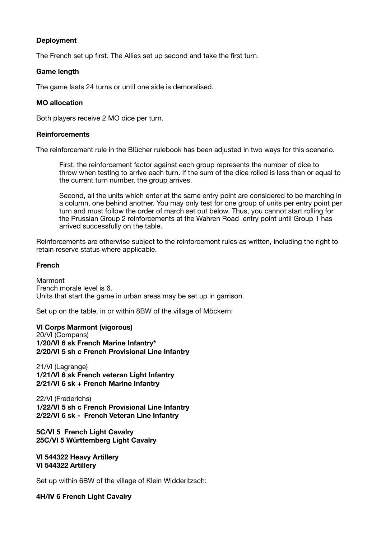### **Deployment**

The French set up first. The Allies set up second and take the first turn.

### **Game length**

The game lasts 24 turns or until one side is demoralised.

### **MO allocation**

Both players receive 2 MO dice per turn.

#### **Reinforcements**

The reinforcement rule in the Blücher rulebook has been adjusted in two ways for this scenario.

First, the reinforcement factor against each group represents the number of dice to throw when testing to arrive each turn. If the sum of the dice rolled is less than or equal to the current turn number, the group arrives.

Second, all the units which enter at the same entry point are considered to be marching in a column, one behind another. You may only test for one group of units per entry point per turn and must follow the order of march set out below. Thus, you cannot start rolling for the Prussian Group 2 reinforcements at the Wahren Road entry point until Group 1 has arrived successfully on the table.

Reinforcements are otherwise subject to the reinforcement rules as written, including the right to retain reserve status where applicable.

#### **French**

Marmont French morale level is 6. Units that start the game in urban areas may be set up in garrison.

Set up on the table, in or within 8BW of the village of Möckern:

**VI Corps Marmont (vigorous)**  20/VI (Compans) **1/20/VI 6 sk French Marine Infantry\* 2/20/VI 5 sh c French Provisional Line Infantry**

21/VI (Lagrange) **1/21/VI 6 sk French veteran Light Infantry 2/21/VI 6 sk + French Marine Infantry** 

22/VI (Frederichs) **1/22/VI 5 sh c French Provisional Line Infantry 2/22/VI 6 sk - French Veteran Line Infantry** 

**5C/VI 5 French Light Cavalry 25C/VI 5 Württemberg Light Cavalry** 

**VI 544322 Heavy Artillery VI 544322 Artillery** 

Set up within 6BW of the village of Klein Widderitzsch:

**4H/IV 6 French Light Cavalry**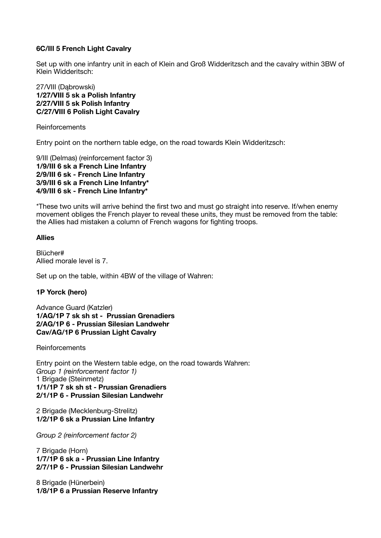# **6C/III 5 French Light Cavalry**

Set up with one infantry unit in each of Klein and Groß Widderitzsch and the cavalry within 3BW of Klein Widderitsch:

### 27/VIII (Dąbrowski) **1/27/VIII 5 sk a Polish Infantry 2/27/VIII 5 sk Polish Infantry C/27/VIII 6 Polish Light Cavalry**

Reinforcements

Entry point on the northern table edge, on the road towards Klein Widderitzsch:

9/III (Delmas) (reinforcement factor 3) **1/9/III 6 sk a French Line Infantry 2/9/III 6 sk - French Line Infantry 3/9/III 6 sk a French Line Infantry\* 4/9/III 6 sk - French Line Infantry\*** 

\*These two units will arrive behind the first two and must go straight into reserve. If/when enemy movement obliges the French player to reveal these units, they must be removed from the table: the Allies had mistaken a column of French wagons for fighting troops.

### **Allies**

Blücher# Allied morale level is 7.

Set up on the table, within 4BW of the village of Wahren:

## **1P Yorck (hero)**

Advance Guard (Katzler) **1/AG/1P 7 sk sh st - Prussian Grenadiers 2/AG/1P 6 - Prussian Silesian Landwehr Cav/AG/1P 6 Prussian Light Cavalry** 

Reinforcements

Entry point on the Western table edge, on the road towards Wahren: *Group 1 (reinforcement factor 1)*  1 Brigade (Steinmetz) **1/1/1P 7 sk sh st - Prussian Grenadiers 2/1/1P 6 - Prussian Silesian Landwehr** 

2 Brigade (Mecklenburg-Strelitz) **1/2/1P 6 sk a Prussian Line Infantry**

*Group 2 (reinforcement factor 2)* 

7 Brigade (Horn) **1/7/1P 6 sk a - Prussian Line Infantry 2/7/1P 6 - Prussian Silesian Landwehr** 

8 Brigade (Hünerbein) **1/8/1P 6 a Prussian Reserve Infantry**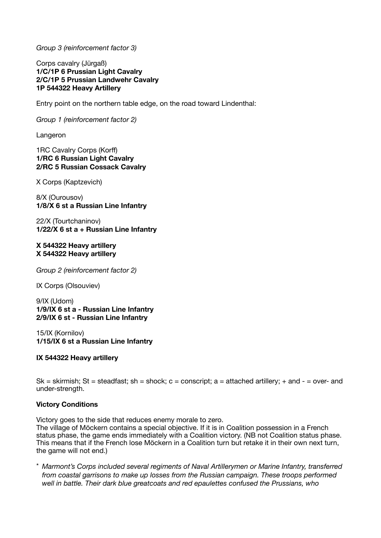*Group 3 (reinforcement factor 3)* 

Corps cavalry (Jürgaß) **1/C/1P 6 Prussian Light Cavalry 2/C/1P 5 Prussian Landwehr Cavalry 1P 544322 Heavy Artillery** 

Entry point on the northern table edge, on the road toward Lindenthal:

*Group 1 (reinforcement factor 2)* 

Langeron

1RC Cavalry Corps (Korff) **1/RC 6 Russian Light Cavalry 2/RC 5 Russian Cossack Cavalry**

X Corps (Kaptzevich)

8/X (Ourousov) **1/8/X 6 st a Russian Line Infantry**

22/X (Tourtchaninov) **1/22/X 6 st a + Russian Line Infantry** 

### **X 544322 Heavy artillery X 544322 Heavy artillery**

*Group 2 (reinforcement factor 2)* 

IX Corps (Olsouviev)

9/IX (Udom) **1/9/IX 6 st a - Russian Line Infantry 2/9/IX 6 st - Russian Line Infantry**

15/IX (Kornilov) **1/15/IX 6 st a Russian Line Infantry** 

**IX 544322 Heavy artillery** 

Sk = skirmish; St = steadfast; sh = shock;  $c$  = conscript; a = attached artillery; + and - = over- and under-strength.

## **Victory Conditions**

Victory goes to the side that reduces enemy morale to zero.

The village of Möckern contains a special objective. If it is in Coalition possession in a French status phase, the game ends immediately with a Coalition victory. (NB not Coalition status phase. This means that if the French lose Möckern in a Coalition turn but retake it in their own next turn, the game will not end.)

\* *Marmont's Corps included several regiments of Naval Artillerymen or Marine Infantry, transferred from coastal garrisons to make up losses from the Russian campaign. These troops performed well in battle. Their dark blue greatcoats and red epaulettes confused the Prussians, who*